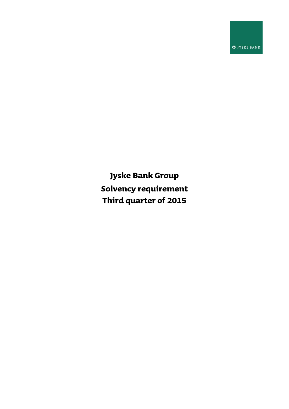**O** JYSKE BANK

**Jyske Bank Group Solvency requirement Third quarter of 2015**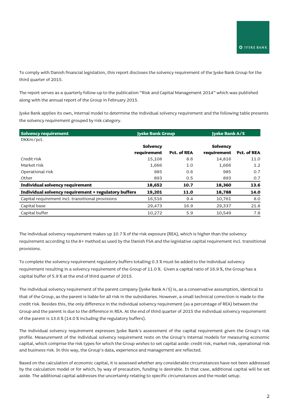To comply with Danish financial legislation, this report discloses the solvency requirement of the Jyske Bank Group for the third quarter of 2015.

The report serves as a quarterly follow-up to the publication "Risk and Capital Management 2014" which was published along with the annual report of the Group in February 2015.

Jyske Bank applies its own, internal model to determine the individual solvency requirement and the following table presents the solvency requirement grouped by risk category.

| <b>Solvency requirement</b>                          |             | <b>Jyske Bank Group</b> |             | <b>Jyske Bank A/S</b> |  |
|------------------------------------------------------|-------------|-------------------------|-------------|-----------------------|--|
| DKKm/pct.                                            |             |                         |             |                       |  |
|                                                      | Solvency    |                         | Solvency    |                       |  |
|                                                      | requirement | Pct. of REA             | requirement | Pct. of REA           |  |
| Credit risk                                          | 15,108      | 8.6                     | 14,816      | 11.0                  |  |
| Market risk                                          | 1,666       | 1.0                     | 1,666       | 1.2                   |  |
| Operational risk                                     | 985         | 0.6                     | 985         | 0.7                   |  |
| Other                                                | 893         | 0.5                     | 893         | 0.7                   |  |
| Individual solvency requirement                      | 18,652      | 10.7                    | 18,360      | 13.6                  |  |
| Individual solvency requirement + regulatory buffers | 19,201      | 11.0                    | 18,788      | 14.0                  |  |
| Capital requirement incl. transitional provisions    | 16,516      | 9.4                     | 10,761      | 8.0                   |  |
| Capital base                                         | 29,473      | 16.9                    | 29,337      | 21.8                  |  |
| Capital buffer                                       | 10,272      | 5.9                     | 10,549      | 7.8                   |  |

The individual solvency requirement makes up 10.7 % of the risk exposure (REA), which is higher than the solvency requirement according to the 8+ method as used by the Danish FSA and the legislative capital requirement incl. transitional provisions.

To complete the solvency requirement regulatory buffers totalling 0.3 % must be added to the individual solvency requirement resulting in a solvency requirement of the Group of 11.0 %. Given a capital ratio of 16.9 %, the Group has a capital buffer of 5.9 % at the end of third quarter of 2015.

The individual solvency requirement of the parent company (Jyske Bank A/S) is, as a conservative assumption, identical to that of the Group, as the parent is liable for all risk in the subsidiaries. However, a small technical correction is made to the credit risk. Besides this, the only difference in the individual solvency requirement (as a percentage of REA) between the Group and the parent is due to the difference in REA. At the end of third quarter of 2015 the individual solvency requirement of the parent is 13.6 % (14.0 % including the regulatory buffers).

The individual solvency requirement expresses Jyske Bank's assessment of the capital requirement given the Group's risk profile. Measurement of the individual solvency requirement rests on the Group's internal models for measuring economic capital, which comprise the risk types for which the Group wishes to set capital aside: credit risk, market risk, operational risk and business risk. In this way, the Group's data, experience and management are reflected.

Based on the calculation of economic capital, it is assessed whether any considerable circumstances have not been addressed by the calculation model or for which, by way of precaution, funding is desirable. In that case, additional capital will be set aside. The additional capital addresses the uncertainty relating to specific circumstances and the model setup.